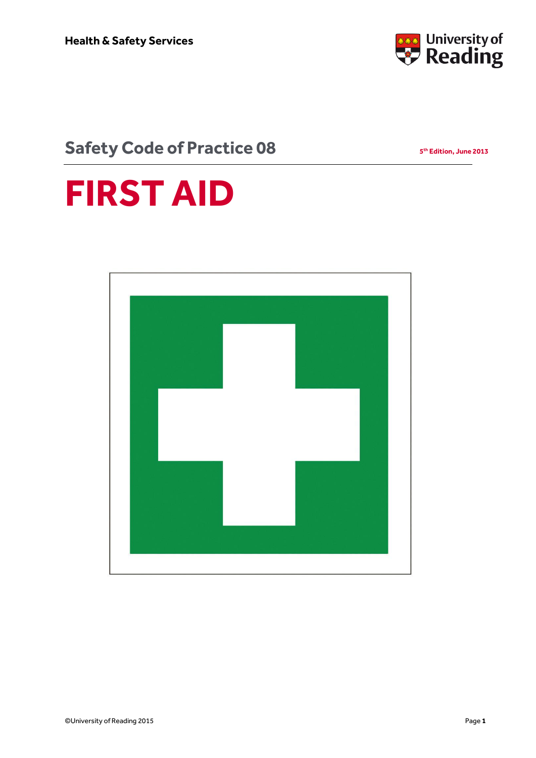

**th Edition, June 2013**

### **Safety Code of Practice 08**

# **FIRST AID**

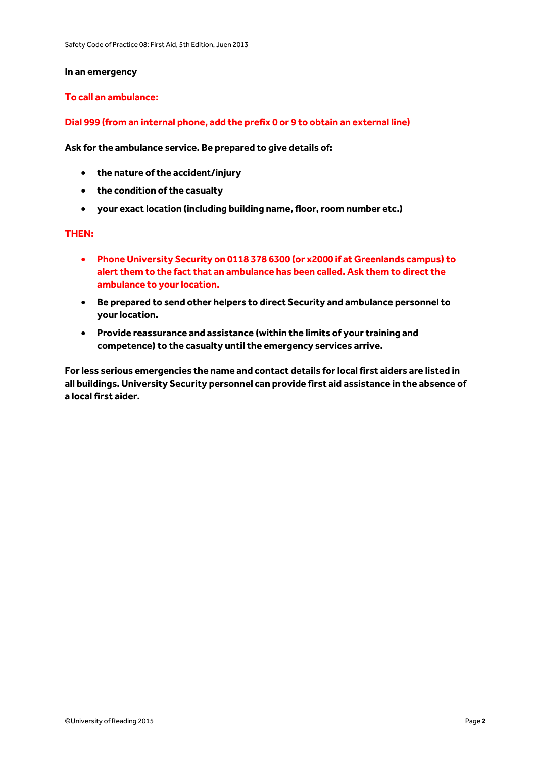#### **In an emergency**

#### **To call an ambulance:**

#### **Dial 999 (from an internal phone, add the prefix 0 or 9 to obtain an external line)**

**Ask for the ambulance service. Be prepared to give details of:** 

- **the nature of the accident/injury**
- **the condition of the casualty**
- **your exact location (including building name, floor, room number etc.)**

#### **THEN:**

- **Phone University Security on 0118 378 6300 (or x2000 if at Greenlands campus) to alert them to the fact that an ambulance has been called. Ask them to direct the ambulance to your location.**
- **Be prepared to send other helpers to direct Security and ambulance personnel to your location.**
- **Provide reassurance and assistance (within the limits of your training and competence) to the casualty until the emergency services arrive.**

**For less serious emergencies the name and contact details for local first aiders are listed in all buildings. University Security personnel can provide first aid assistance in the absence of a local first aider.**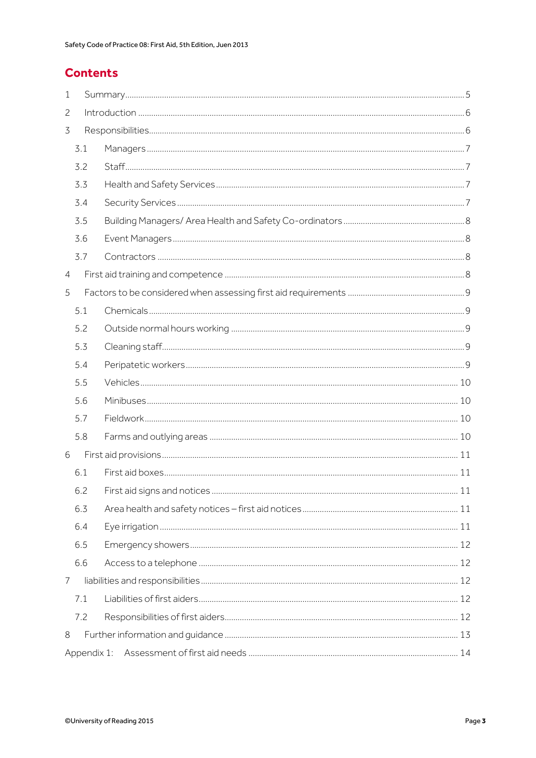#### **Contents**

| 1              |                               |    |
|----------------|-------------------------------|----|
| 2              |                               |    |
| $\overline{3}$ |                               |    |
| 3.1            |                               |    |
| 3.2            |                               |    |
| 3.3            |                               |    |
| 3.4            |                               |    |
| 3.5            |                               |    |
| 3.6            |                               |    |
| 3.7            | $Contractors \hspace{10mm} 8$ |    |
| 4              |                               |    |
| 5              |                               |    |
| 5.1            |                               |    |
| 5.2            |                               |    |
| 5.3            |                               |    |
| 5.4            |                               |    |
| 5.5            |                               |    |
| 5.6            |                               |    |
| 5.7            |                               |    |
| 5.8            |                               |    |
| 6              |                               |    |
| 6.1            |                               |    |
| 6.2            | First aid signs and notices   | 11 |
| 6.3            |                               |    |
| 6.4            |                               |    |
| 6.5            |                               |    |
| 6.6            |                               |    |
| 7              |                               |    |
| 7.1            |                               |    |
| 7.2            |                               |    |
| 8              |                               |    |
|                |                               |    |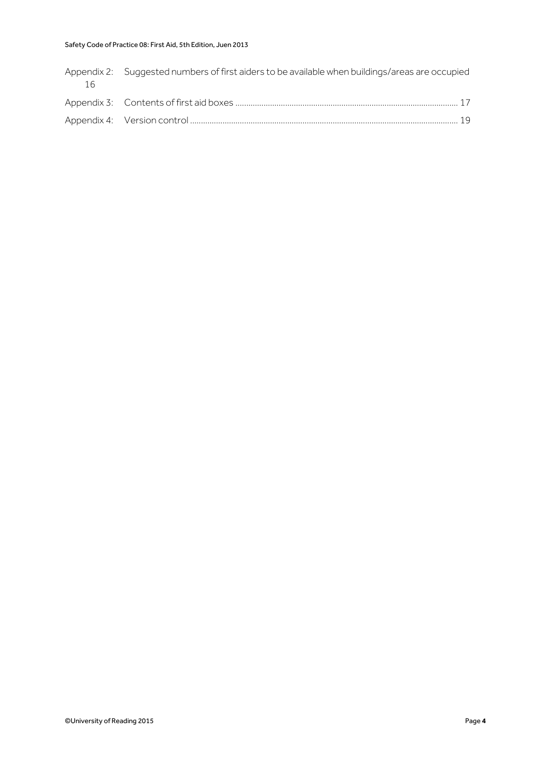#### Safety Code of Practice 08: First Aid, 5th Edition, Juen 2013

| 16 | Appendix 2: Suggested numbers of first aiders to be available when buildings/areas are occupied |  |
|----|-------------------------------------------------------------------------------------------------|--|
|    |                                                                                                 |  |
|    |                                                                                                 |  |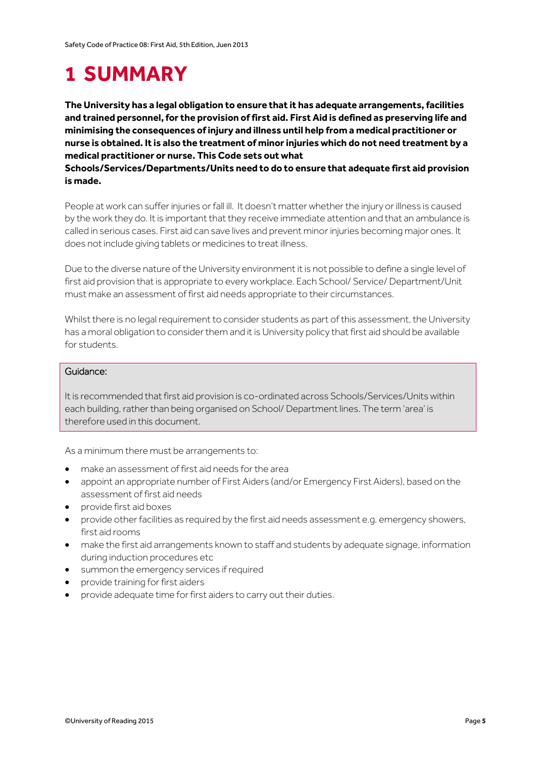## <span id="page-4-0"></span>**1 SUMMARY**

**The University has a legal obligation to ensure that it has adequate arrangements, facilities and trained personnel, for the provision of first aid. First Aid is defined as preserving life and minimising the consequences of injury and illness until help from a medical practitioner or nurse is obtained. It is also the treatment of minor injuries which do not need treatment by a medical practitioner or nurse. This Code sets out what** 

**Schools/Services/Departments/Units need to do to ensure that adequate first aid provision is made.** 

People at work can suffer injuries or fall ill. It doesn't matter whether the injury or illness is caused by the work they do. It is important that they receive immediate attention and that an ambulance is called in serious cases. First aid can save lives and prevent minor injuries becoming major ones. It does not include giving tablets or medicines to treat illness.

Due to the diverse nature of the University environment it is not possible to define a single level of first aid provision that is appropriate to every workplace. Each School/ Service/ Department/Unit must make an assessment of first aid needs appropriate to their circumstances.

Whilst there is no legal requirement to consider students as part of this assessment, the University has a moral obligation to consider them and it is University policy that first aid should be available for students.

#### Guidance:

It is recommended that first aid provision is co-ordinated across Schools/Services/Units within each building, rather than being organised on School/ Department lines. The term 'area' is therefore used in this document.

As a minimum there must be arrangements to:

- make an assessment of first aid needs for the area
- appoint an appropriate number of First Aiders (and/or Emergency First Aiders), based on the assessment of first aid needs
- provide first aid boxes
- provide other facilities as required by the first aid needs assessment e.g. emergency showers, first aid rooms
- make the first aid arrangements known to staff and students by adequate signage, information during induction procedures etc
- summon the emergency services if required
- provide training for first aiders
- provide adequate time for first aiders to carry out their duties.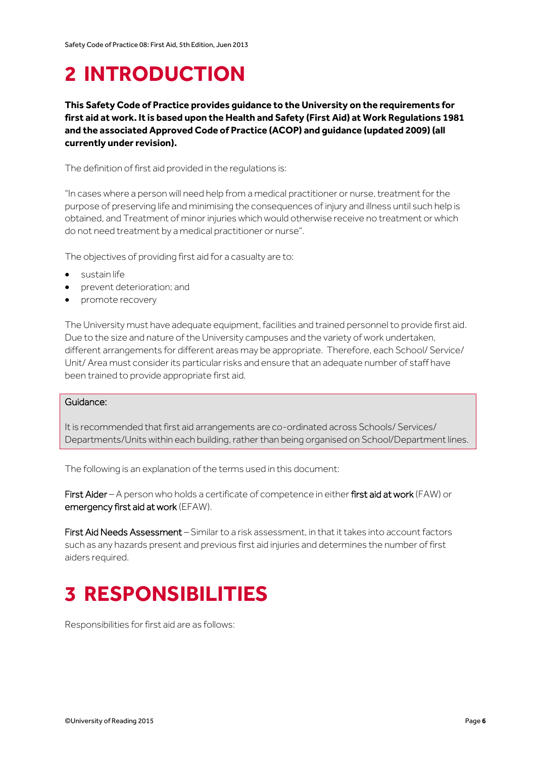## <span id="page-5-0"></span>**2 INTRODUCTION**

**This Safety Code of Practice provides guidance to the University on the requirements for first aid at work. It is based upon the Health and Safety (First Aid) at Work Regulations 1981 and the associated Approved Code of Practice (ACOP) and guidance (updated 2009) (all currently under revision).**

The definition of first aid provided in the regulations is:

"In cases where a person will need help from a medical practitioner or nurse, treatment for the purpose of preserving life and minimising the consequences of injury and illness until such help is obtained, and Treatment of minor injuries which would otherwise receive no treatment or which do not need treatment by a medical practitioner or nurse".

The objectives of providing first aid for a casualty are to:

- sustain life
- prevent deterioration; and
- promote recovery

The University must have adequate equipment, facilities and trained personnel to provide first aid. Due to the size and nature of the University campuses and the variety of work undertaken, different arrangements for different areas may be appropriate. Therefore, each School/ Service/ Unit/ Area must consider its particular risks and ensure that an adequate number of staff have been trained to provide appropriate first aid.

#### Guidance:

It is recommended that first aid arrangements are co-ordinated across Schools/ Services/ Departments/Units within each building, rather than being organised on School/Department lines.

The following is an explanation of the terms used in this document:

First Aider – A person who holds a certificate of competence in either first aid at work (FAW) or emergency first aid at work (EFAW).

First Aid Needs Assessment – Similar to a risk assessment, in that it takes into account factors such as any hazards present and previous first aid injuries and determines the number of first aiders required.

## <span id="page-5-1"></span>**3 RESPONSIBILITIES**

Responsibilities for first aid are as follows: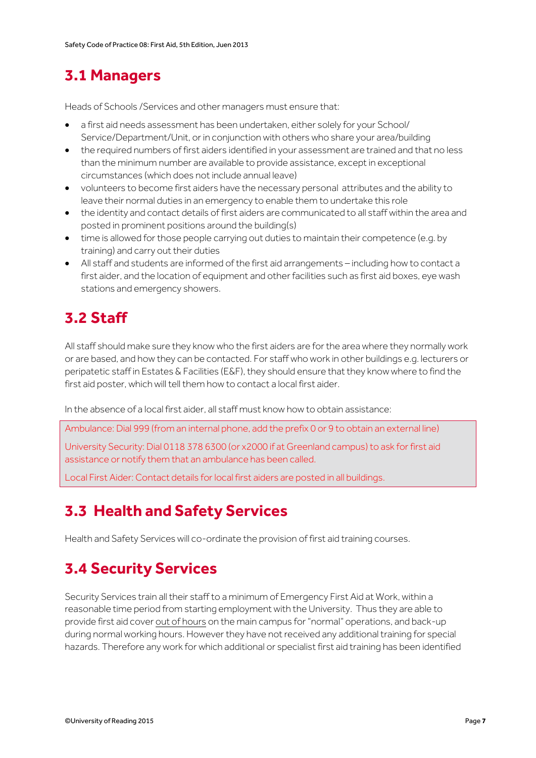### <span id="page-6-0"></span>**3.1 Managers**

Heads of Schools /Services and other managers must ensure that:

- a first aid needs assessment has been undertaken, either solely for your School/ Service/Department/Unit, or in conjunction with others who share your area/building
- the required numbers of first aiders identified in your assessment are trained and that no less than the minimum number are available to provide assistance, except in exceptional circumstances (which does not include annual leave)
- volunteers to become first aiders have the necessary personal attributes and the ability to leave their normal duties in an emergency to enable them to undertake this role
- the identity and contact details of first aiders are communicated to all staff within the area and posted in prominent positions around the building(s)
- time is allowed for those people carrying out duties to maintain their competence (e.g. by training) and carry out their duties
- All staff and students are informed of the first aid arrangements including how to contact a first aider, and the location of equipment and other facilities such as first aid boxes, eye wash stations and emergency showers.

### <span id="page-6-1"></span>**3.2 Staff**

All staff should make sure they know who the first aiders are for the area where they normally work or are based, and how they can be contacted. For staff who work in other buildings e.g. lecturers or peripatetic staff in Estates & Facilities (E&F), they should ensure that they know where to find the first aid poster, which will tell them how to contact a local first aider.

In the absence of a local first aider, all staff must know how to obtain assistance:

Ambulance: Dial 999 (from an internal phone, add the prefix 0 or 9 to obtain an external line)

University Security: Dial 0118 378 6300 (or x2000 if at Greenland campus) to ask for first aid assistance or notify them that an ambulance has been called.

<span id="page-6-2"></span>Local First Aider: Contact details for local first aiders are posted in all buildings.

### **3.3 Health and Safety Services**

Health and Safety Services will co-ordinate the provision of first aid training courses.

### <span id="page-6-3"></span>**3.4 Security Services**

Security Services train all their staff to a minimum of Emergency First Aid at Work, within a reasonable time period from starting employment with the University. Thus they are able to provide first aid cover out of hours on the main campus for "normal" operations, and back-up during normal working hours. However they have not received any additional training for special hazards. Therefore any work for which additional or specialist first aid training has been identified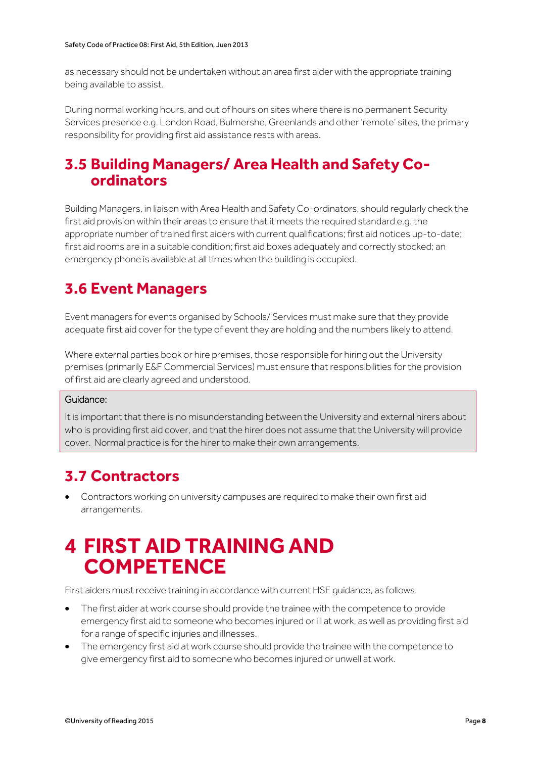as necessary should not be undertaken without an area first aider with the appropriate training being available to assist.

During normal working hours, and out of hours on sites where there is no permanent Security Services presence e.g. London Road, Bulmershe, Greenlands and other 'remote' sites, the primary responsibility for providing first aid assistance rests with areas.

#### <span id="page-7-0"></span>**3.5 Building Managers/ Area Health and Safety Coordinators**

Building Managers, in liaison with Area Health and Safety Co-ordinators, should regularly check the first aid provision within their areas to ensure that it meets the required standard e.g. the appropriate number of trained first aiders with current qualifications; first aid notices up-to-date; first aid rooms are in a suitable condition; first aid boxes adequately and correctly stocked; an emergency phone is available at all times when the building is occupied.

### <span id="page-7-1"></span>**3.6 Event Managers**

Event managers for events organised by Schools/ Services must make sure that they provide adequate first aid cover for the type of event they are holding and the numbers likely to attend.

Where external parties book or hire premises, those responsible for hiring out the University premises (primarily E&F Commercial Services) must ensure that responsibilities for the provision of first aid are clearly agreed and understood.

#### Guidance:

It is important that there is no misunderstanding between the University and external hirers about who is providing first aid cover, and that the hirer does not assume that the University will provide cover. Normal practice is for the hirer to make their own arrangements.

### <span id="page-7-2"></span>**3.7 Contractors**

 Contractors working on university campuses are required to make their own first aid arrangements.

### <span id="page-7-3"></span>**4 FIRST AID TRAINING AND COMPETENCE**

First aiders must receive training in accordance with current HSE guidance, as follows:

- The first aider at work course should provide the trainee with the competence to provide emergency first aid to someone who becomes injured or ill at work, as well as providing first aid for a range of specific injuries and illnesses.
- The emergency first aid at work course should provide the trainee with the competence to give emergency first aid to someone who becomes injured or unwell at work.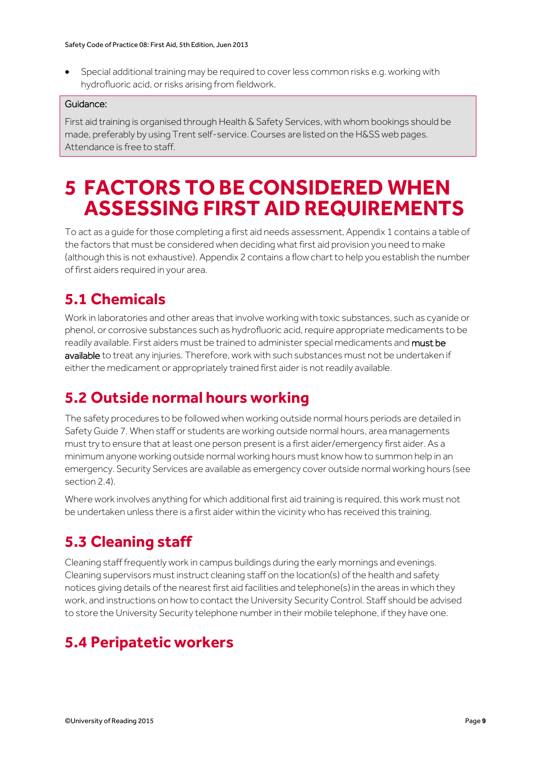Special additional training may be required to cover less common risks e.g. working with hydrofluoric acid, or risks arising from fieldwork.

#### Guidance:

First aid training is organised through Health & Safety Services, with whom bookings should be made, preferably by using Trent self-service. Courses are listed on the H&SS web pages. Attendance is free to staff.

## <span id="page-8-0"></span>**5 FACTORS TO BE CONSIDERED WHEN ASSESSING FIRST AID REQUIREMENTS**

To act as a guide for those completing a first aid needs assessment, Appendix 1 contains a table of the factors that must be considered when deciding what first aid provision you need to make (although this is not exhaustive). Appendix 2 contains a flow chart to help you establish the number of first aiders required in your area.

### <span id="page-8-1"></span>**5.1 Chemicals**

Work in laboratories and other areas that involve working with toxic substances, such as cyanide or phenol, or corrosive substances such as hydrofluoric acid, require appropriate medicaments to be readily available. First aiders must be trained to administer special medicaments and must be available to treat any injuries. Therefore, work with such substances must not be undertaken if either the medicament or appropriately trained first aider is not readily available.

### <span id="page-8-2"></span>**5.2 Outside normal hours working**

The safety procedures to be followed when working outside normal hours periods are detailed in Safety Guide 7. When staff or students are working outside normal hours, area managements must try to ensure that at least one person present is a first aider/emergency first aider. As a minimum anyone working outside normal working hours must know how to summon help in an emergency. Security Services are available as emergency cover outside normal working hours (see section 2.4).

Where work involves anything for which additional first aid training is required, this work must not be undertaken unless there is a first aider within the vicinity who has received this training.

### <span id="page-8-3"></span>**5.3 Cleaning staff**

Cleaning staff frequently work in campus buildings during the early mornings and evenings. Cleaning supervisors must instruct cleaning staff on the location(s) of the health and safety notices giving details of the nearest first aid facilities and telephone(s) in the areas in which they work, and instructions on how to contact the University Security Control. Staff should be advised to store the University Security telephone number in their mobile telephone, if they have one.

### <span id="page-8-4"></span>**5.4 Peripatetic workers**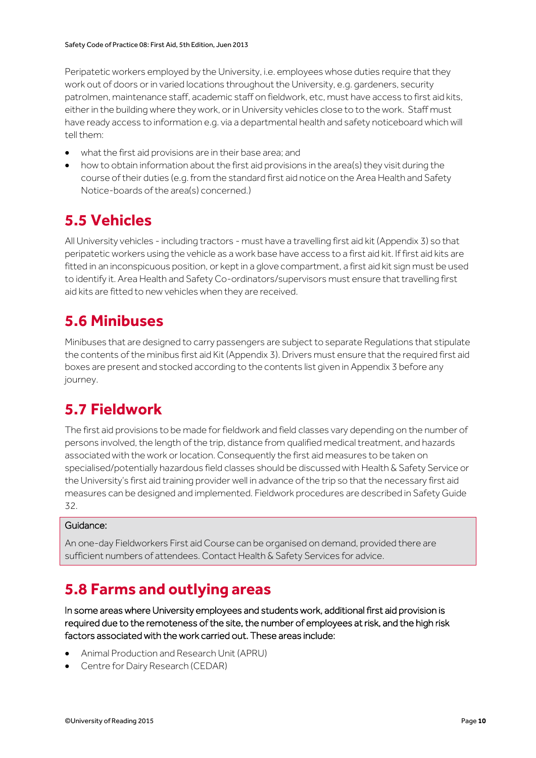Peripatetic workers employed by the University, i.e. employees whose duties require that they work out of doors or in varied locations throughout the University, e.g. gardeners, security patrolmen, maintenance staff, academic staff on fieldwork, etc, must have access to first aid kits, either in the building where they work, or in University vehicles close to to the work. Staff must have ready access to information e.g. via a departmental health and safety noticeboard which will tell them:

- what the first aid provisions are in their base area; and
- how to obtain information about the first aid provisions in the area(s) they visit during the course of their duties (e.g. from the standard first aid notice on the Area Health and Safety Notice-boards of the area(s) concerned.)

### <span id="page-9-0"></span>**5.5 Vehicles**

All University vehicles - including tractors - must have a travelling first aid kit (Appendix 3) so that peripatetic workers using the vehicle as a work base have access to a first aid kit. If first aid kits are fitted in an inconspicuous position, or kept in a glove compartment, a first aid kit sign must be used to identify it. Area Health and Safety Co-ordinators/supervisors must ensure that travelling first aid kits are fitted to new vehicles when they are received.

### <span id="page-9-1"></span>**5.6 Minibuses**

Minibuses that are designed to carry passengers are subject to separate Regulations that stipulate the contents of the minibus first aid Kit (Appendix 3). Drivers must ensure that the required first aid boxes are present and stocked according to the contents list given in Appendix 3 before any journey.

### <span id="page-9-2"></span>**5.7 Fieldwork**

The first aid provisions to be made for fieldwork and field classes vary depending on the number of persons involved, the length of the trip, distance from qualified medical treatment, and hazards associated with the work or location. Consequently the first aid measures to be taken on specialised/potentially hazardous field classes should be discussed with Health & Safety Service or the University's first aid training provider well in advance of the trip so that the necessary first aid measures can be designed and implemented. Fieldwork procedures are described in Safety Guide 32.

#### Guidance:

An one-day Fieldworkers First aid Course can be organised on demand, provided there are sufficient numbers of attendees. Contact Health & Safety Services for advice.

### <span id="page-9-3"></span>**5.8 Farms and outlying areas**

In some areas where University employees and students work, additional first aid provision is required due to the remoteness of the site, the number of employees at risk, and the high risk factors associated with the work carried out. These areas include:

- Animal Production and Research Unit (APRU)
- Centre for Dairy Research (CEDAR)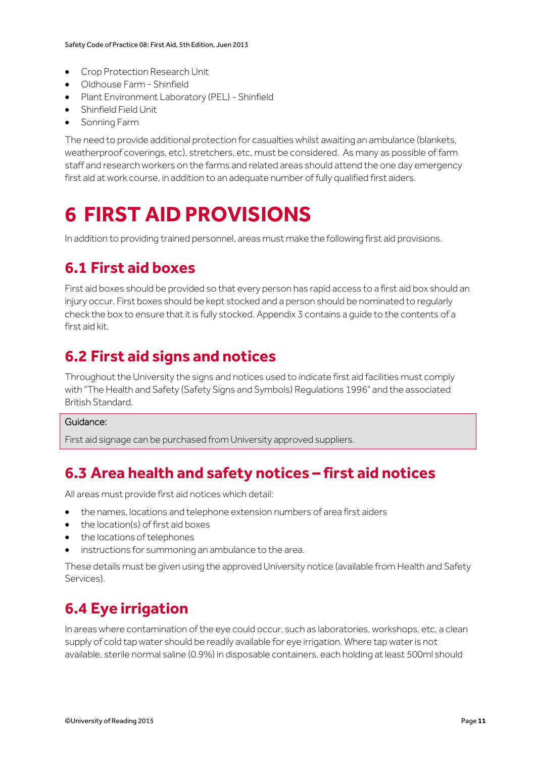- Crop Protection Research Unit
- Oldhouse Farm Shinfield
- Plant Environment Laboratory (PEL) Shinfield
- Shinfield Field Unit
- Sonning Farm

The need to provide additional protection for casualties whilst awaiting an ambulance (blankets, weatherproof coverings, etc), stretchers, etc, must be considered. As many as possible of farm staff and research workers on the farms and related areas should attend the one day emergency first aid at work course, in addition to an adequate number of fully qualified first aiders.

## <span id="page-10-0"></span>**6 FIRST AID PROVISIONS**

<span id="page-10-1"></span>In addition to providing trained personnel, areas must make the following first aid provisions.

### **6.1 First aid boxes**

First aid boxes should be provided so that every person has rapid access to a first aid box should an injury occur. First boxes should be kept stocked and a person should be nominated to regularly check the box to ensure that it is fully stocked. Appendix 3 contains a guide to the contents of a first aid kit.

### <span id="page-10-2"></span>**6.2 First aid signs and notices**

Throughout the University the signs and notices used to indicate first aid facilities must comply with "The Health and Safety (Safety Signs and Symbols) Regulations 1996" and the associated British Standard.

#### Guidance:

First aid signage can be purchased from University approved suppliers.

### <span id="page-10-3"></span>**6.3 Area health and safety notices – first aid notices**

All areas must provide first aid notices which detail:

- the names, locations and telephone extension numbers of area first aiders
- the location(s) of first aid boxes
- the locations of telephones
- instructions for summoning an ambulance to the area.

These details must be given using the approved University notice (available from Health and Safety Services).

### <span id="page-10-4"></span>**6.4 Eye irrigation**

In areas where contamination of the eye could occur, such as laboratories, workshops, etc, a clean supply of cold tap water should be readily available for eye irrigation. Where tap water is not available, sterile normal saline (0.9%) in disposable containers, each holding at least 500ml should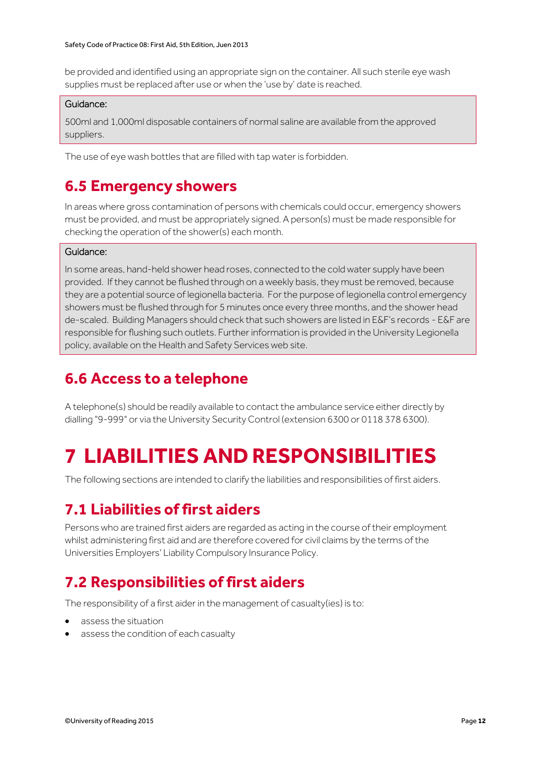be provided and identified using an appropriate sign on the container. All such sterile eye wash supplies must be replaced after use or when the 'use by' date is reached.

#### Guidance:

500ml and 1,000ml disposable containers of normal saline are available from the approved suppliers.

<span id="page-11-0"></span>The use of eye wash bottles that are filled with tap water is forbidden.

### **6.5 Emergency showers**

In areas where gross contamination of persons with chemicals could occur, emergency showers must be provided, and must be appropriately signed. A person(s) must be made responsible for checking the operation of the shower(s) each month.

#### Guidance:

In some areas, hand-held shower head roses, connected to the cold water supply have been provided. If they cannot be flushed through on a weekly basis, they must be removed, because they are a potential source of legionella bacteria. For the purpose of legionella control emergency showers must be flushed through for 5 minutes once every three months, and the shower head de-scaled. Building Managers should check that such showers are listed in E&F's records - E&F are responsible for flushing such outlets. Further information is provided in the University Legionella policy, available on the Health and Safety Services web site.

### <span id="page-11-1"></span>**6.6 Access to a telephone**

A telephone(s) should be readily available to contact the ambulance service either directly by dialling "9-999" or via the University Security Control (extension 6300 or 0118 378 6300).

## <span id="page-11-2"></span>**7 LIABILITIES AND RESPONSIBILITIES**

<span id="page-11-3"></span>The following sections are intended to clarify the liabilities and responsibilities of first aiders.

#### **7.1 Liabilities of first aiders**

Persons who are trained first aiders are regarded as acting in the course of their employment whilst administering first aid and are therefore covered for civil claims by the terms of the Universities Employers' Liability Compulsory Insurance Policy.

#### <span id="page-11-4"></span>**7.2 Responsibilities of first aiders**

The responsibility of a first aider in the management of casualty(ies) is to:

- assess the situation
- assess the condition of each casualty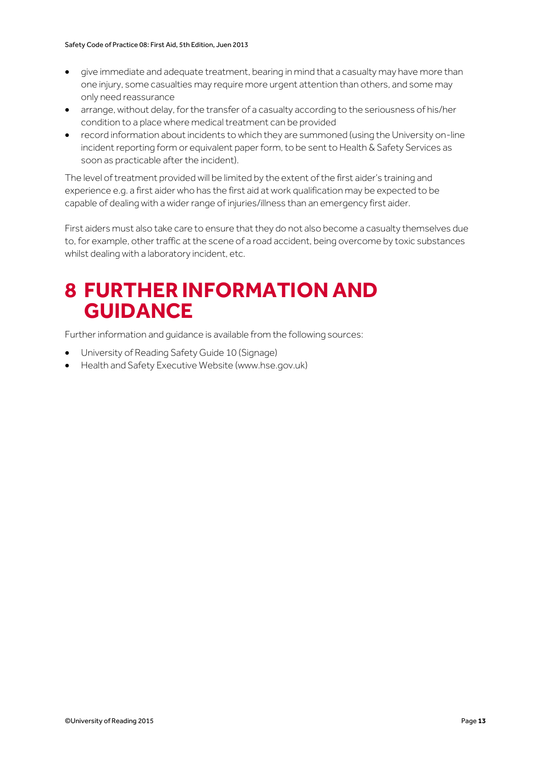- give immediate and adequate treatment, bearing in mind that a casualty may have more than one injury, some casualties may require more urgent attention than others, and some may only need reassurance
- arrange, without delay, for the transfer of a casualty according to the seriousness of his/her condition to a place where medical treatment can be provided
- record information about incidents to which they are summoned (using the University on-line incident reporting form or equivalent paper form, to be sent to Health & Safety Services as soon as practicable after the incident).

The level of treatment provided will be limited by the extent of the first aider's training and experience e.g. a first aider who has the first aid at work qualification may be expected to be capable of dealing with a wider range of injuries/illness than an emergency first aider.

First aiders must also take care to ensure that they do not also become a casualty themselves due to, for example, other traffic at the scene of a road accident, being overcome by toxic substances whilst dealing with a laboratory incident, etc.

### <span id="page-12-0"></span>**8 FURTHER INFORMATION AND GUIDANCE**

Further information and guidance is available from the following sources:

- University of Reading Safety Guide 10 (Signage)
- Health and Safety Executive Website (www.hse.gov.uk)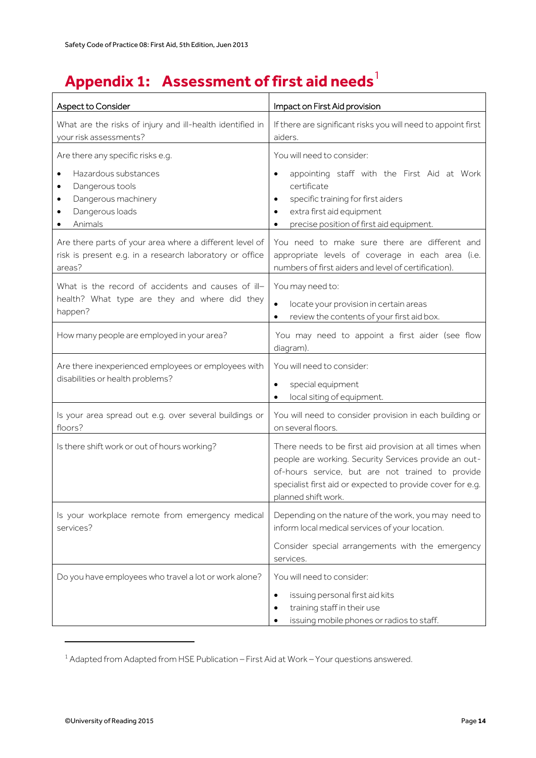## <span id="page-13-0"></span>**Appendix 1: Assessment of first aid needs**

| Aspect to Consider                                                                                                           | Impact on First Aid provision                                                                                                                                                                                                                             |  |
|------------------------------------------------------------------------------------------------------------------------------|-----------------------------------------------------------------------------------------------------------------------------------------------------------------------------------------------------------------------------------------------------------|--|
| What are the risks of injury and ill-health identified in<br>your risk assessments?                                          | If there are significant risks you will need to appoint first<br>aiders.                                                                                                                                                                                  |  |
| Are there any specific risks e.g.                                                                                            | You will need to consider:                                                                                                                                                                                                                                |  |
| Hazardous substances<br>Dangerous tools<br>Dangerous machinery<br>Dangerous loads<br>Animals                                 | appointing staff with the First Aid at Work<br>$\bullet$<br>certificate<br>specific training for first aiders<br>$\bullet$<br>extra first aid equipment<br>precise position of first aid equipment.                                                       |  |
| Are there parts of your area where a different level of<br>risk is present e.g. in a research laboratory or office<br>areas? | You need to make sure there are different and<br>appropriate levels of coverage in each area (i.e.<br>numbers of first aiders and level of certification).                                                                                                |  |
| What is the record of accidents and causes of ill-<br>health? What type are they and where did they<br>happen?               | You may need to:<br>locate your provision in certain areas<br>$\bullet$<br>review the contents of your first aid box.                                                                                                                                     |  |
| How many people are employed in your area?                                                                                   | You may need to appoint a first aider (see flow<br>diagram).                                                                                                                                                                                              |  |
| Are there inexperienced employees or employees with<br>disabilities or health problems?                                      | You will need to consider:<br>special equipment<br>local siting of equipment.                                                                                                                                                                             |  |
| Is your area spread out e.g. over several buildings or<br>floors?                                                            | You will need to consider provision in each building or<br>on several floors.                                                                                                                                                                             |  |
| Is there shift work or out of hours working?                                                                                 | There needs to be first aid provision at all times when<br>people are working. Security Services provide an out-<br>of-hours service, but are not trained to provide<br>specialist first aid or expected to provide cover for e.g.<br>planned shift work. |  |
| Is your workplace remote from emergency medical<br>services?                                                                 | Depending on the nature of the work, you may need to<br>inform local medical services of your location.                                                                                                                                                   |  |
|                                                                                                                              | Consider special arrangements with the emergency<br>services.                                                                                                                                                                                             |  |
| Do you have employees who travel a lot or work alone?                                                                        | You will need to consider:<br>issuing personal first aid kits<br>$\bullet$<br>training staff in their use<br>٠<br>issuing mobile phones or radios to staff.                                                                                               |  |

<sup>1</sup> Adapted from Adapted from HSE Publication – First Aid at Work – Your questions answered.

.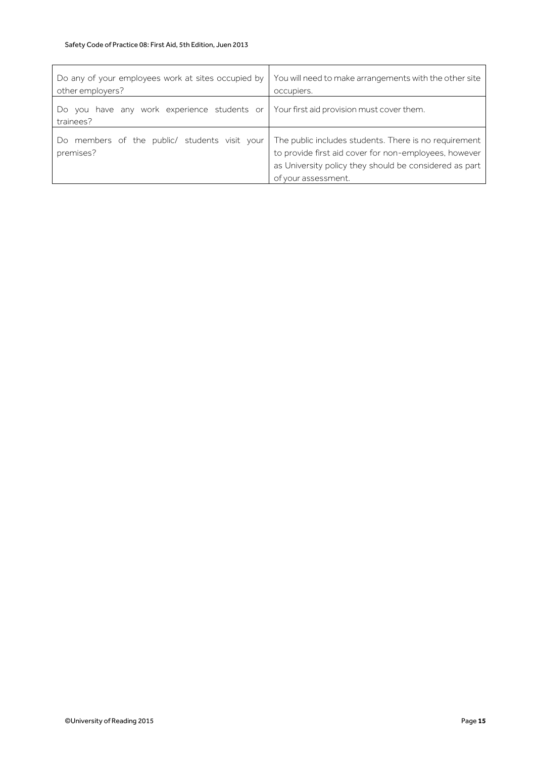$\mathsf{r}$ 

| Do any of your employees work at sites occupied by<br>other employers? | You will need to make arrangements with the other site<br>occupiers.                                                                                                                            |
|------------------------------------------------------------------------|-------------------------------------------------------------------------------------------------------------------------------------------------------------------------------------------------|
| Do you have any work experience students or<br>trainees?               | Your first aid provision must cover them.                                                                                                                                                       |
| Do members of the public/ students visit your<br>premises?             | The public includes students. There is no requirement<br>to provide first aid cover for non-employees, however<br>as University policy they should be considered as part<br>of your assessment. |

 $\overline{\mathbf{r}}$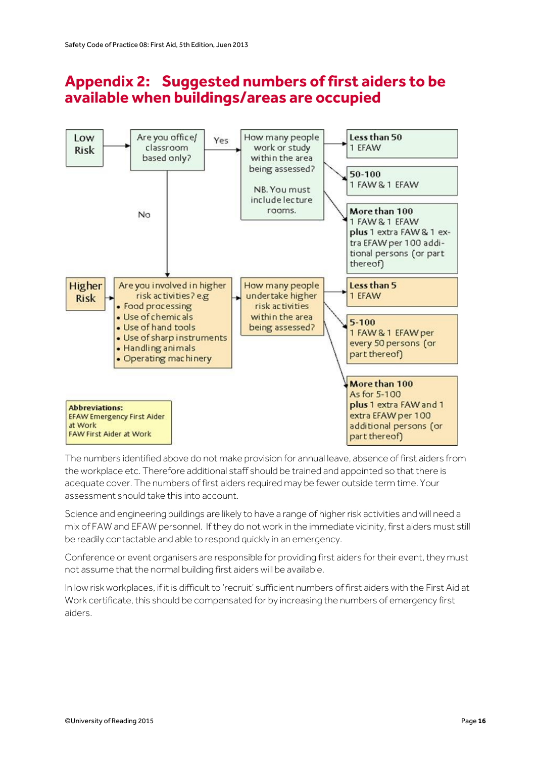#### <span id="page-15-0"></span>**Appendix 2: Suggested numbers of first aiders to be available when buildings/areas are occupied**



The numbers identified above do not make provision for annual leave, absence of first aiders from the workplace etc. Therefore additional staff should be trained and appointed so that there is adequate cover. The numbers of first aiders required may be fewer outside term time. Your assessment should take this into account.

Science and engineering buildings are likely to have a range of higher risk activities and will need a mix of FAW and EFAW personnel. If they do not work in the immediate vicinity, first aiders must still be readily contactable and able to respond quickly in an emergency.

Conference or event organisers are responsible for providing first aiders for their event, they must not assume that the normal building first aiders will be available.

In low risk workplaces, if it is difficult to 'recruit' sufficient numbers of first aiders with the First Aid at Work certificate, this should be compensated for by increasing the numbers of emergency first aiders.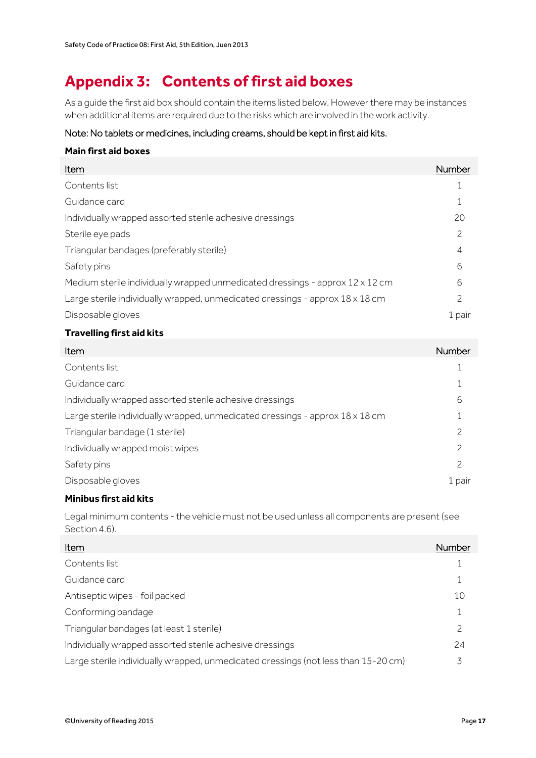### <span id="page-16-0"></span>**Appendix 3: Contents of first aid boxes**

As a guide the first aid box should contain the items listed below. However there may be instances when additional items are required due to the risks which are involved in the work activity.

#### Note: No tablets or medicines, including creams, should be kept in first aid kits.

| <b>Main first aid boxes</b>                                                          |        |
|--------------------------------------------------------------------------------------|--------|
| Item                                                                                 | Number |
| Contents list                                                                        |        |
| Guidance card                                                                        |        |
| Individually wrapped assorted sterile adhesive dressings                             | 20     |
| Sterile eye pads                                                                     | 2      |
| Triangular bandages (preferably sterile)                                             | 4      |
| Safety pins                                                                          | 6      |
| Medium sterile individually wrapped unmedicated dressings - approx $12 \times 12$ cm | 6      |
| Large sterile individually wrapped, unmedicated dressings - approx 18 x 18 cm        | 2      |
| Disposable gloves                                                                    | 1 pair |
|                                                                                      |        |

#### **Travelling first aid kits**

| Item                                                                          | Number |
|-------------------------------------------------------------------------------|--------|
| Contents list                                                                 |        |
| Guidance card                                                                 |        |
| Individually wrapped assorted sterile adhesive dressings                      | 6      |
| Large sterile individually wrapped, unmedicated dressings - approx 18 x 18 cm |        |
| Triangular bandage (1 sterile)                                                | 2      |
| Individually wrapped moist wipes                                              | 2      |
| Safety pins                                                                   | 2      |
| Disposable gloves                                                             | 1 pair |

#### **Minibus first aid kits**

Legal minimum contents - the vehicle must not be used unless all components are present (see Section 4.6).

| Item                                                                               | Number |
|------------------------------------------------------------------------------------|--------|
| Contents list                                                                      |        |
| Guidance card                                                                      |        |
| Antiseptic wipes - foil packed                                                     | 10     |
| Conforming bandage                                                                 |        |
| Triangular bandages (at least 1 sterile)                                           | 2      |
| Individually wrapped assorted sterile adhesive dressings                           | 24     |
| Large sterile individually wrapped, unmedicated dressings (not less than 15-20 cm) | 3      |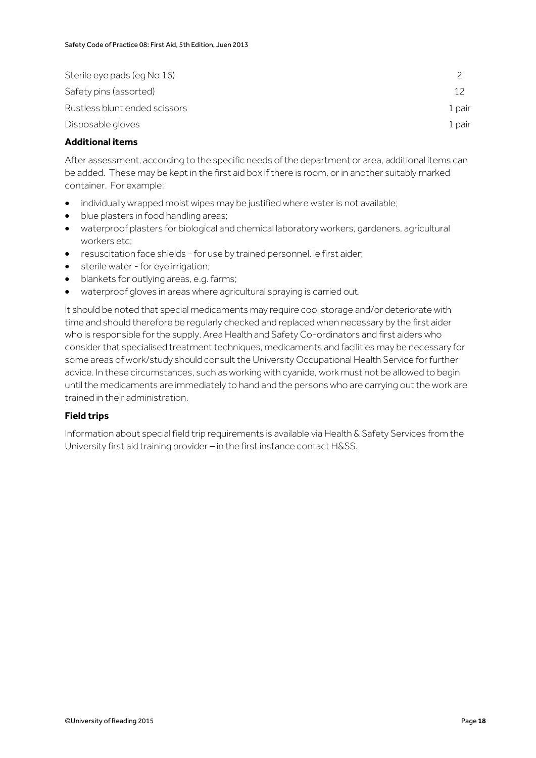| Sterile eye pads (eq No 16)   |        |
|-------------------------------|--------|
| Safety pins (assorted)        |        |
| Rustless blunt ended scissors | 1 pair |
| Disposable gloves             | 1 pair |

#### **Additional items**

After assessment, according to the specific needs of the department or area, additional items can be added. These may be kept in the first aid box if there is room, or in another suitably marked container. For example:

- individually wrapped moist wipes may be justified where water is not available;
- blue plasters in food handling areas;
- waterproof plasters for biological and chemical laboratory workers, gardeners, agricultural workers etc;
- resuscitation face shields for use by trained personnel, ie first aider;
- sterile water for eye irrigation;
- blankets for outlying areas, e.g. farms;
- waterproof gloves in areas where agricultural spraying is carried out.

It should be noted that special medicaments may require cool storage and/or deteriorate with time and should therefore be regularly checked and replaced when necessary by the first aider who is responsible for the supply. Area Health and Safety Co-ordinators and first aiders who consider that specialised treatment techniques, medicaments and facilities may be necessary for some areas of work/study should consult the University Occupational Health Service for further advice. In these circumstances, such as working with cyanide, work must not be allowed to begin until the medicaments are immediately to hand and the persons who are carrying out the work are trained in their administration.

#### **Field trips**

Information about special field trip requirements is available via Health & Safety Services from the University first aid training provider – in the first instance contact H&SS.